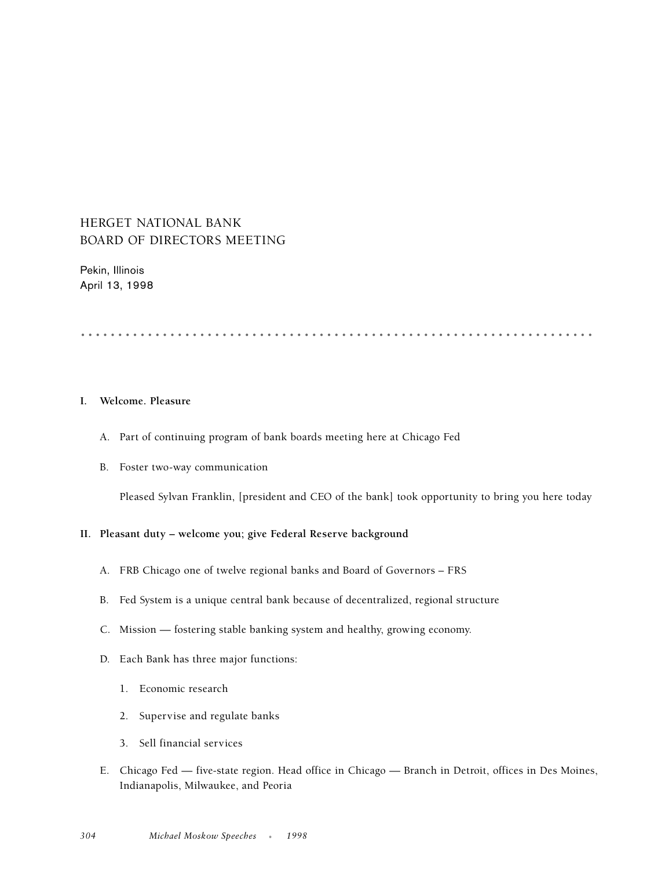# HERGET NATIONAL BANK BOARD OF DIRECTORS MEETING

Pekin, Illinois April 13, 1998

.....................................................................

## **I. Welcome. Pleasure**

- A. Part of continuing program of bank boards meeting here at Chicago Fed
- B. Foster two-way communication

Pleased Sylvan Franklin, [president and CEO of the bank] took opportunity to bring you here today

### **II. Pleasant duty – welcome you; give Federal Reserve background**

- A. FRB Chicago one of twelve regional banks and Board of Governors FRS
- B. Fed System is a unique central bank because of decentralized, regional structure
- C. Mission fostering stable banking system and healthy, growing economy.
- D. Each Bank has three major functions:
	- 1. Economic research
	- 2. Supervise and regulate banks
	- 3. Sell financial services
- E. Chicago Fed five-state region. Head office in Chicago Branch in Detroit, offices in Des Moines, Indianapolis, Milwaukee, and Peoria